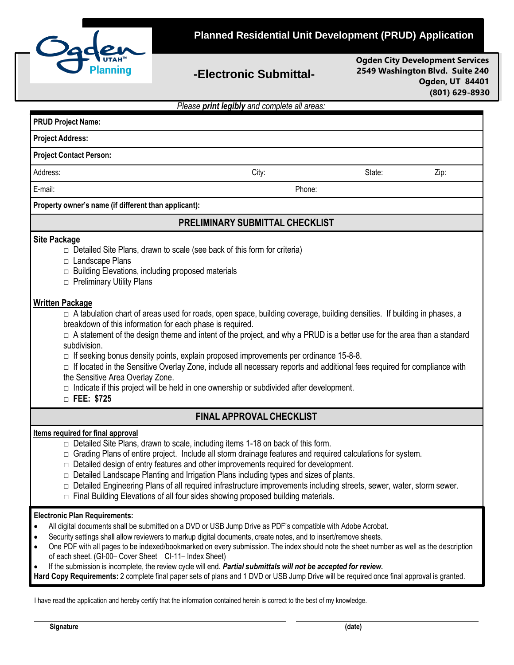

## **-Electronic Submittal-**

**Ogden City Development Services 2549 Washington Blvd. Suite 240 Ogden, UT 84401 (801) 629-8930**

|  |  |  |  |  | Please print legibly and complete all areas: |  |
|--|--|--|--|--|----------------------------------------------|--|
|--|--|--|--|--|----------------------------------------------|--|

| <b>PRUD Project Name:</b>                                                                                                                                                                                                                                                                                                                                                                                                                                                                                                                                                                                                                                                                                                                       |                                                                                                                                                                                                                                                                                                                                                                                                                                                                                                                                                                                                                               |       |        |      |  |  |  |
|-------------------------------------------------------------------------------------------------------------------------------------------------------------------------------------------------------------------------------------------------------------------------------------------------------------------------------------------------------------------------------------------------------------------------------------------------------------------------------------------------------------------------------------------------------------------------------------------------------------------------------------------------------------------------------------------------------------------------------------------------|-------------------------------------------------------------------------------------------------------------------------------------------------------------------------------------------------------------------------------------------------------------------------------------------------------------------------------------------------------------------------------------------------------------------------------------------------------------------------------------------------------------------------------------------------------------------------------------------------------------------------------|-------|--------|------|--|--|--|
| <b>Project Address:</b>                                                                                                                                                                                                                                                                                                                                                                                                                                                                                                                                                                                                                                                                                                                         |                                                                                                                                                                                                                                                                                                                                                                                                                                                                                                                                                                                                                               |       |        |      |  |  |  |
| <b>Project Contact Person:</b>                                                                                                                                                                                                                                                                                                                                                                                                                                                                                                                                                                                                                                                                                                                  |                                                                                                                                                                                                                                                                                                                                                                                                                                                                                                                                                                                                                               |       |        |      |  |  |  |
| Address:                                                                                                                                                                                                                                                                                                                                                                                                                                                                                                                                                                                                                                                                                                                                        |                                                                                                                                                                                                                                                                                                                                                                                                                                                                                                                                                                                                                               | City: | State: | Zip: |  |  |  |
| E-mail:                                                                                                                                                                                                                                                                                                                                                                                                                                                                                                                                                                                                                                                                                                                                         |                                                                                                                                                                                                                                                                                                                                                                                                                                                                                                                                                                                                                               |       | Phone: |      |  |  |  |
| Property owner's name (if different than applicant):                                                                                                                                                                                                                                                                                                                                                                                                                                                                                                                                                                                                                                                                                            |                                                                                                                                                                                                                                                                                                                                                                                                                                                                                                                                                                                                                               |       |        |      |  |  |  |
| <b>PRELIMINARY SUBMITTAL CHECKLIST</b>                                                                                                                                                                                                                                                                                                                                                                                                                                                                                                                                                                                                                                                                                                          |                                                                                                                                                                                                                                                                                                                                                                                                                                                                                                                                                                                                                               |       |        |      |  |  |  |
| <b>Site Package</b>                                                                                                                                                                                                                                                                                                                                                                                                                                                                                                                                                                                                                                                                                                                             | Detailed Site Plans, drawn to scale (see back of this form for criteria)<br>□ Landscape Plans<br>$\Box$ Building Elevations, including proposed materials<br>$\Box$ Preliminary Utility Plans<br><b>Written Package</b><br>□ A tabulation chart of areas used for roads, open space, building coverage, building densities. If building in phases, a                                                                                                                                                                                                                                                                          |       |        |      |  |  |  |
| subdivision.                                                                                                                                                                                                                                                                                                                                                                                                                                                                                                                                                                                                                                                                                                                                    | breakdown of this information for each phase is required.<br>$\Box$ A statement of the design theme and intent of the project, and why a PRUD is a better use for the area than a standard<br>$\Box$ If seeking bonus density points, explain proposed improvements per ordinance 15-8-8.<br>$\Box$ If located in the Sensitive Overlay Zone, include all necessary reports and additional fees required for compliance with<br>the Sensitive Area Overlay Zone.<br>$\Box$ Indicate if this project will be held in one ownership or subdivided after development.<br>$\Box$ FEE: \$725                                       |       |        |      |  |  |  |
| <b>FINAL APPROVAL CHECKLIST</b>                                                                                                                                                                                                                                                                                                                                                                                                                                                                                                                                                                                                                                                                                                                 |                                                                                                                                                                                                                                                                                                                                                                                                                                                                                                                                                                                                                               |       |        |      |  |  |  |
| <b>Items required for final approval</b>                                                                                                                                                                                                                                                                                                                                                                                                                                                                                                                                                                                                                                                                                                        | □ Detailed Site Plans, drawn to scale, including items 1-18 on back of this form.<br>$\Box$ Grading Plans of entire project. Include all storm drainage features and required calculations for system.<br>$\Box$ Detailed design of entry features and other improvements required for development.<br>$\Box$ Detailed Landscape Planting and Irrigation Plans including types and sizes of plants.<br>$\Box$ Detailed Engineering Plans of all required infrastructure improvements including streets, sewer, water, storm sewer.<br>$\Box$ Final Building Elevations of all four sides showing proposed building materials. |       |        |      |  |  |  |
| <b>Electronic Plan Requirements:</b><br>All digital documents shall be submitted on a DVD or USB Jump Drive as PDF's compatible with Adobe Acrobat.<br>٠<br>Security settings shall allow reviewers to markup digital documents, create notes, and to insert/remove sheets.<br>One PDF with all pages to be indexed/bookmarked on every submission. The index should note the sheet number as well as the description<br>of each sheet. (GI-00- Cover Sheet CI-11- Index Sheet)<br>If the submission is incomplete, the review cycle will end. Partial submittals will not be accepted for review.<br>Hard Copy Requirements: 2 complete final paper sets of plans and 1 DVD or USB Jump Drive will be required once final approval is granted. |                                                                                                                                                                                                                                                                                                                                                                                                                                                                                                                                                                                                                               |       |        |      |  |  |  |
|                                                                                                                                                                                                                                                                                                                                                                                                                                                                                                                                                                                                                                                                                                                                                 | I have read the application and hereby certify that the information contained herein is correct to the best of my knowledge.                                                                                                                                                                                                                                                                                                                                                                                                                                                                                                  |       |        |      |  |  |  |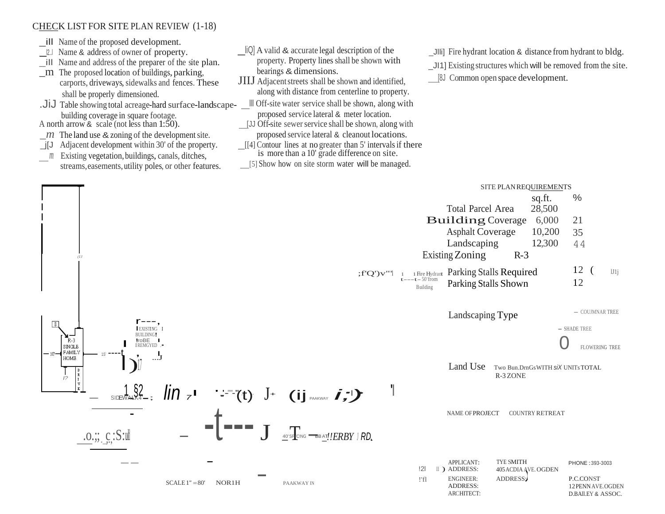## CHECK LIST FOR SITE PLAN REVIEW (1-18)

- \_ill Name of the proposed development.
- l2..l Name & address of owner of property.
- \_ill Name and address of the preparer of the site plan.  $m$  The proposed location of buildings, parking,
	- carports, driveways, sidewalks and fences. These
		- shall be properly dimensioned.
- building coverage in square footage.
- A north arrow & scale (not less than  $1:50$ ).
- $\mu$  The land use & zoning of the development site.
- \_j[J Adjacent development within 30' of the property.
- *<sup>m</sup>*Existing vegetation, buildings, canals, ditches, streams,easements, utility poles, or other features.
- $\Box$   $\Box$  A valid & accurate legal description of the property. Property lines shall be shown with bearings & dimensions.
- **JIIJ** Adjacent streets shall be shown and identified, along with distance from centerline to property.
- .JiJ Table showing total acreage-hard surface-landscape-  $\Box$  Off-site water service shall be shown, along with proposed service lateral & meter location.
	- [JJ Off-site sewer service shall be shown, along with proposed service lateral & cleanout locations.
	- [[4] Contour lines at no greater than 5' intervalsif there is more than a 10' grade difference on site.
	- [5] Show how on site storm water will be managed.
- \_Jlli] Fire hydrant location & distance from hydrant to bldg.
- \_JI1] Existing structures which will be removed from the site.
- [8J Common open space development.